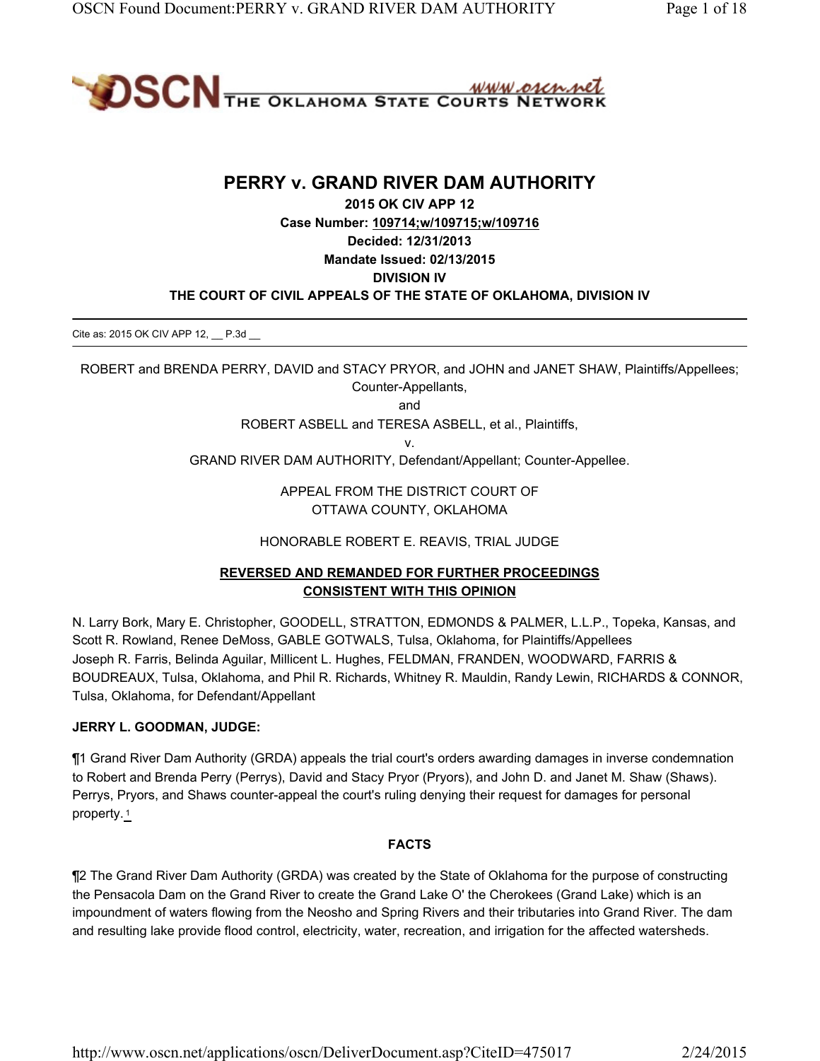

# **PERRY v. GRAND RIVER DAM AUTHORITY**

**2015 OK CIV APP 12 Case Number: 109714;w/109715;w/109716 Decided: 12/31/2013 Mandate Issued: 02/13/2015 DIVISION IV THE COURT OF CIVIL APPEALS OF THE STATE OF OKLAHOMA, DIVISION IV**

Cite as: 2015 OK CIV APP 12, P.3d

ROBERT and BRENDA PERRY, DAVID and STACY PRYOR, and JOHN and JANET SHAW, Plaintiffs/Appellees; Counter-Appellants,

and

ROBERT ASBELL and TERESA ASBELL, et al., Plaintiffs,

v.

GRAND RIVER DAM AUTHORITY, Defendant/Appellant; Counter-Appellee.

APPEAL FROM THE DISTRICT COURT OF OTTAWA COUNTY, OKLAHOMA

HONORABLE ROBERT E. REAVIS, TRIAL JUDGE

# **REVERSED AND REMANDED FOR FURTHER PROCEEDINGS CONSISTENT WITH THIS OPINION**

N. Larry Bork, Mary E. Christopher, GOODELL, STRATTON, EDMONDS & PALMER, L.L.P., Topeka, Kansas, and Scott R. Rowland, Renee DeMoss, GABLE GOTWALS, Tulsa, Oklahoma, for Plaintiffs/Appellees Joseph R. Farris, Belinda Aguilar, Millicent L. Hughes, FELDMAN, FRANDEN, WOODWARD, FARRIS & BOUDREAUX, Tulsa, Oklahoma, and Phil R. Richards, Whitney R. Mauldin, Randy Lewin, RICHARDS & CONNOR, Tulsa, Oklahoma, for Defendant/Appellant

### **JERRY L. GOODMAN, JUDGE:**

¶1 Grand River Dam Authority (GRDA) appeals the trial court's orders awarding damages in inverse condemnation to Robert and Brenda Perry (Perrys), David and Stacy Pryor (Pryors), and John D. and Janet M. Shaw (Shaws). Perrys, Pryors, and Shaws counter-appeal the court's ruling denying their request for damages for personal property. <sup>1</sup>

### **FACTS**

¶2 The Grand River Dam Authority (GRDA) was created by the State of Oklahoma for the purpose of constructing the Pensacola Dam on the Grand River to create the Grand Lake O' the Cherokees (Grand Lake) which is an impoundment of waters flowing from the Neosho and Spring Rivers and their tributaries into Grand River. The dam and resulting lake provide flood control, electricity, water, recreation, and irrigation for the affected watersheds.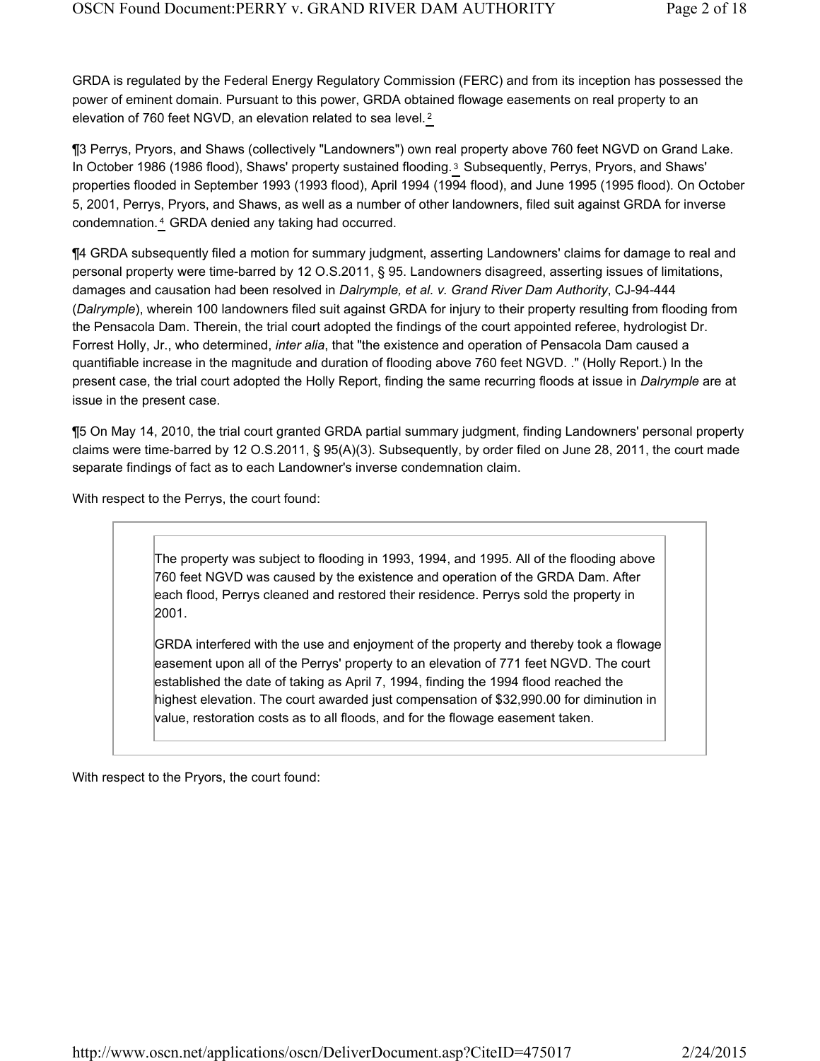GRDA is regulated by the Federal Energy Regulatory Commission (FERC) and from its inception has possessed the power of eminent domain. Pursuant to this power, GRDA obtained flowage easements on real property to an elevation of 760 feet NGVD, an elevation related to sea level. <sup>2</sup>

¶3 Perrys, Pryors, and Shaws (collectively "Landowners") own real property above 760 feet NGVD on Grand Lake. In October 1986 (1986 flood), Shaws' property sustained flooding.<sup>3</sup> Subsequently, Perrys, Pryors, and Shaws' properties flooded in September 1993 (1993 flood), April 1994 (1994 flood), and June 1995 (1995 flood). On October 5, 2001, Perrys, Pryors, and Shaws, as well as a number of other landowners, filed suit against GRDA for inverse condemnation.<sup>4</sup> GRDA denied any taking had occurred.

¶4 GRDA subsequently filed a motion for summary judgment, asserting Landowners' claims for damage to real and personal property were time-barred by 12 O.S.2011, § 95. Landowners disagreed, asserting issues of limitations, damages and causation had been resolved in *Dalrymple, et al. v. Grand River Dam Authority*, CJ-94-444 (*Dalrymple*), wherein 100 landowners filed suit against GRDA for injury to their property resulting from flooding from the Pensacola Dam. Therein, the trial court adopted the findings of the court appointed referee, hydrologist Dr. Forrest Holly, Jr., who determined, *inter alia*, that "the existence and operation of Pensacola Dam caused a quantifiable increase in the magnitude and duration of flooding above 760 feet NGVD. ." (Holly Report.) In the present case, the trial court adopted the Holly Report, finding the same recurring floods at issue in *Dalrymple* are at issue in the present case.

¶5 On May 14, 2010, the trial court granted GRDA partial summary judgment, finding Landowners' personal property claims were time-barred by 12 O.S.2011, § 95(A)(3). Subsequently, by order filed on June 28, 2011, the court made separate findings of fact as to each Landowner's inverse condemnation claim.

With respect to the Perrys, the court found:

The property was subject to flooding in 1993, 1994, and 1995. All of the flooding above 760 feet NGVD was caused by the existence and operation of the GRDA Dam. After each flood, Perrys cleaned and restored their residence. Perrys sold the property in 2001.

GRDA interfered with the use and enjoyment of the property and thereby took a flowage easement upon all of the Perrys' property to an elevation of 771 feet NGVD. The court established the date of taking as April 7, 1994, finding the 1994 flood reached the highest elevation. The court awarded just compensation of \$32,990.00 for diminution in value, restoration costs as to all floods, and for the flowage easement taken.

With respect to the Pryors, the court found: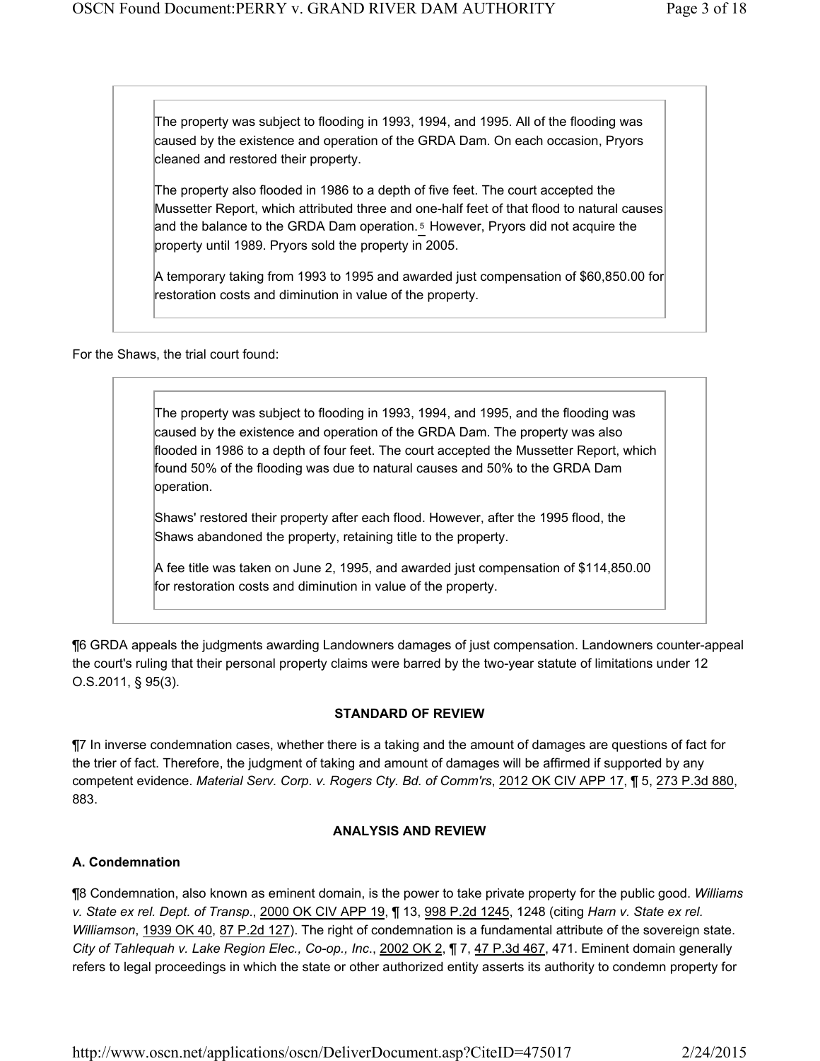The property was subject to flooding in 1993, 1994, and 1995. All of the flooding was caused by the existence and operation of the GRDA Dam. On each occasion, Pryors cleaned and restored their property.

The property also flooded in 1986 to a depth of five feet. The court accepted the Mussetter Report, which attributed three and one-half feet of that flood to natural causes and the balance to the GRDA Dam operation.<sup>5</sup> However, Pryors did not acquire the property until 1989. Pryors sold the property in 2005.

A temporary taking from 1993 to 1995 and awarded just compensation of \$60,850.00 for restoration costs and diminution in value of the property.

For the Shaws, the trial court found:

The property was subject to flooding in 1993, 1994, and 1995, and the flooding was caused by the existence and operation of the GRDA Dam. The property was also flooded in 1986 to a depth of four feet. The court accepted the Mussetter Report, which found 50% of the flooding was due to natural causes and 50% to the GRDA Dam operation.

Shaws' restored their property after each flood. However, after the 1995 flood, the Shaws abandoned the property, retaining title to the property.

A fee title was taken on June 2, 1995, and awarded just compensation of \$114,850.00 for restoration costs and diminution in value of the property.

¶6 GRDA appeals the judgments awarding Landowners damages of just compensation. Landowners counter-appeal the court's ruling that their personal property claims were barred by the two-year statute of limitations under 12 O.S.2011, § 95(3).

### **STANDARD OF REVIEW**

¶7 In inverse condemnation cases, whether there is a taking and the amount of damages are questions of fact for the trier of fact. Therefore, the judgment of taking and amount of damages will be affirmed if supported by any competent evidence. *Material Serv. Corp. v. Rogers Cty. Bd. of Comm'rs*, 2012 OK CIV APP 17, ¶ 5, 273 P.3d 880, 883.

### **ANALYSIS AND REVIEW**

# **A. Condemnation**

¶8 Condemnation, also known as eminent domain, is the power to take private property for the public good. *Williams v. State ex rel. Dept. of Transp*., 2000 OK CIV APP 19, ¶ 13, 998 P.2d 1245, 1248 (citing *Harn v. State ex rel. Williamson*, 1939 OK 40, 87 P.2d 127). The right of condemnation is a fundamental attribute of the sovereign state. *City of Tahlequah v. Lake Region Elec., Co-op., Inc*., 2002 OK 2, ¶ 7, 47 P.3d 467, 471. Eminent domain generally refers to legal proceedings in which the state or other authorized entity asserts its authority to condemn property for

http://www.oscn.net/applications/oscn/DeliverDocument.asp?CiteID=475017 2/24/2015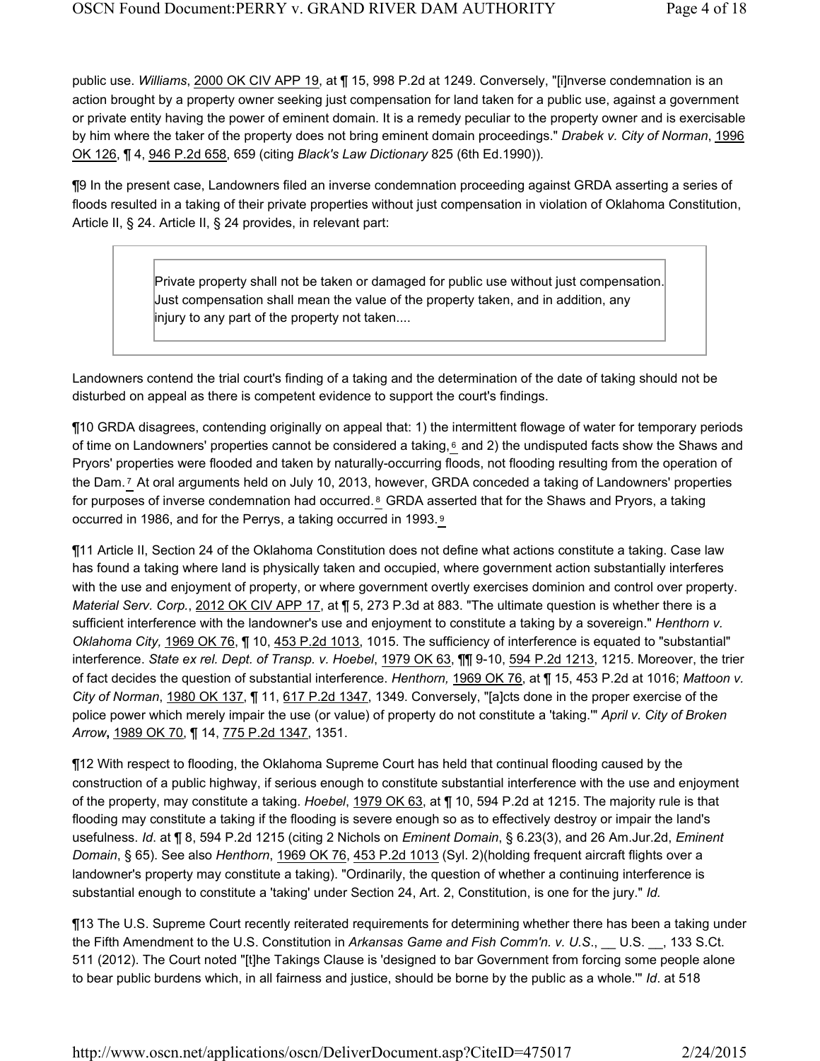public use. *Williams*, 2000 OK CIV APP 19, at ¶ 15, 998 P.2d at 1249. Conversely, "[i]nverse condemnation is an action brought by a property owner seeking just compensation for land taken for a public use, against a government or private entity having the power of eminent domain. It is a remedy peculiar to the property owner and is exercisable by him where the taker of the property does not bring eminent domain proceedings." *Drabek v. City of Norman*, 1996 OK 126, ¶ 4, 946 P.2d 658, 659 (citing *Black's Law Dictionary* 825 (6th Ed.1990))*.* 

¶9 In the present case, Landowners filed an inverse condemnation proceeding against GRDA asserting a series of floods resulted in a taking of their private properties without just compensation in violation of Oklahoma Constitution, Article II, § 24. Article II, § 24 provides, in relevant part:

> Private property shall not be taken or damaged for public use without just compensation. Just compensation shall mean the value of the property taken, and in addition, any injury to any part of the property not taken....

Landowners contend the trial court's finding of a taking and the determination of the date of taking should not be disturbed on appeal as there is competent evidence to support the court's findings.

¶10 GRDA disagrees, contending originally on appeal that: 1) the intermittent flowage of water for temporary periods of time on Landowners' properties cannot be considered a taking,  $6$  and 2) the undisputed facts show the Shaws and Pryors' properties were flooded and taken by naturally-occurring floods, not flooding resulting from the operation of the Dam.<sup>7</sup> At oral arguments held on July 10, 2013, however, GRDA conceded a taking of Landowners' properties for purposes of inverse condemnation had occurred. <sup>8</sup> GRDA asserted that for the Shaws and Pryors, a taking occurred in 1986, and for the Perrys, a taking occurred in 1993. 9

¶11 Article II, Section 24 of the Oklahoma Constitution does not define what actions constitute a taking. Case law has found a taking where land is physically taken and occupied, where government action substantially interferes with the use and enjoyment of property, or where government overtly exercises dominion and control over property. *Material Serv. Corp.*, 2012 OK CIV APP 17, at ¶ 5, 273 P.3d at 883. "The ultimate question is whether there is a sufficient interference with the landowner's use and enjoyment to constitute a taking by a sovereign." *Henthorn v. Oklahoma City,* 1969 OK 76, ¶ 10, 453 P.2d 1013, 1015. The sufficiency of interference is equated to "substantial" interference. *State ex rel. Dept. of Transp. v. Hoebel*, 1979 OK 63, ¶¶ 9-10, 594 P.2d 1213, 1215. Moreover, the trier of fact decides the question of substantial interference. *Henthorn,* 1969 OK 76, at ¶ 15, 453 P.2d at 1016; *Mattoon v. City of Norman*, 1980 OK 137, ¶ 11, 617 P.2d 1347, 1349. Conversely, "[a]cts done in the proper exercise of the police power which merely impair the use (or value) of property do not constitute a 'taking.'" *April v. City of Broken Arrow***,** 1989 OK 70, ¶ 14, 775 P.2d 1347, 1351.

¶12 With respect to flooding, the Oklahoma Supreme Court has held that continual flooding caused by the construction of a public highway, if serious enough to constitute substantial interference with the use and enjoyment of the property, may constitute a taking. *Hoebel*, 1979 OK 63, at ¶ 10, 594 P.2d at 1215. The majority rule is that flooding may constitute a taking if the flooding is severe enough so as to effectively destroy or impair the land's usefulness. *Id*. at ¶ 8, 594 P.2d 1215 (citing 2 Nichols on *Eminent Domain*, § 6.23(3), and 26 Am.Jur.2d, *Eminent Domain*, § 65). See also *Henthorn*, 1969 OK 76, 453 P.2d 1013 (Syl. 2)(holding frequent aircraft flights over a landowner's property may constitute a taking). "Ordinarily, the question of whether a continuing interference is substantial enough to constitute a 'taking' under Section 24, Art. 2, Constitution, is one for the jury." *Id.*

¶13 The U.S. Supreme Court recently reiterated requirements for determining whether there has been a taking under the Fifth Amendment to the U.S. Constitution in *Arkansas Game and Fish Comm'n. v. U.S*., \_\_ U.S. \_\_, 133 S.Ct. 511 (2012). The Court noted "[t]he Takings Clause is 'designed to bar Government from forcing some people alone to bear public burdens which, in all fairness and justice, should be borne by the public as a whole.'" *Id*. at 518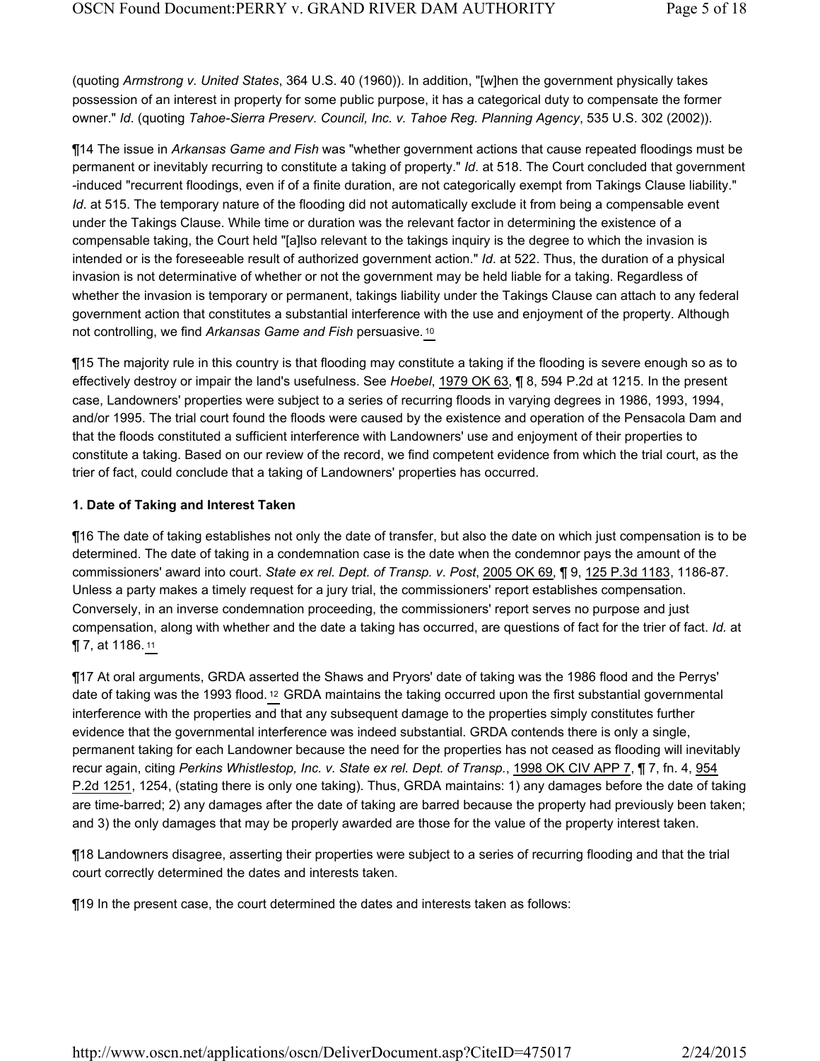(quoting *Armstrong v. United States*, 364 U.S. 40 (1960)). In addition, "[w]hen the government physically takes possession of an interest in property for some public purpose, it has a categorical duty to compensate the former owner." *Id*. (quoting *Tahoe-Sierra Preserv. Council, Inc. v. Tahoe Reg. Planning Agency*, 535 U.S. 302 (2002)).

¶14 The issue in *Arkansas Game and Fish* was "whether government actions that cause repeated floodings must be permanent or inevitably recurring to constitute a taking of property." *Id*. at 518. The Court concluded that government -induced "recurrent floodings, even if of a finite duration, are not categorically exempt from Takings Clause liability." *Id.* at 515. The temporary nature of the flooding did not automatically exclude it from being a compensable event under the Takings Clause. While time or duration was the relevant factor in determining the existence of a compensable taking, the Court held "[a]lso relevant to the takings inquiry is the degree to which the invasion is intended or is the foreseeable result of authorized government action." *Id*. at 522. Thus, the duration of a physical invasion is not determinative of whether or not the government may be held liable for a taking. Regardless of whether the invasion is temporary or permanent, takings liability under the Takings Clause can attach to any federal government action that constitutes a substantial interference with the use and enjoyment of the property. Although not controlling, we find *Arkansas Game and Fish* persuasive. <sup>10</sup>

¶15 The majority rule in this country is that flooding may constitute a taking if the flooding is severe enough so as to effectively destroy or impair the land's usefulness. See *Hoebel*, 1979 OK 63, ¶ 8, 594 P.2d at 1215. In the present case, Landowners' properties were subject to a series of recurring floods in varying degrees in 1986, 1993, 1994, and/or 1995. The trial court found the floods were caused by the existence and operation of the Pensacola Dam and that the floods constituted a sufficient interference with Landowners' use and enjoyment of their properties to constitute a taking. Based on our review of the record, we find competent evidence from which the trial court, as the trier of fact, could conclude that a taking of Landowners' properties has occurred.

#### **1. Date of Taking and Interest Taken**

¶16 The date of taking establishes not only the date of transfer, but also the date on which just compensation is to be determined. The date of taking in a condemnation case is the date when the condemnor pays the amount of the commissioners' award into court. *State ex rel. Dept. of Transp. v. Post*, 2005 OK 69, ¶ 9, 125 P.3d 1183, 1186-87. Unless a party makes a timely request for a jury trial, the commissioners' report establishes compensation. Conversely, in an inverse condemnation proceeding, the commissioners' report serves no purpose and just compensation, along with whether and the date a taking has occurred, are questions of fact for the trier of fact. *Id.* at ¶ 7, at 1186. <sup>11</sup>

¶17 At oral arguments, GRDA asserted the Shaws and Pryors' date of taking was the 1986 flood and the Perrys' date of taking was the 1993 flood. <sup>12</sup> GRDA maintains the taking occurred upon the first substantial governmental interference with the properties and that any subsequent damage to the properties simply constitutes further evidence that the governmental interference was indeed substantial. GRDA contends there is only a single, permanent taking for each Landowner because the need for the properties has not ceased as flooding will inevitably recur again, citing *Perkins Whistlestop, Inc. v. State ex rel. Dept. of Transp.*, 1998 OK CIV APP 7, ¶ 7, fn. 4, 954 P.2d 1251, 1254, (stating there is only one taking). Thus, GRDA maintains: 1) any damages before the date of taking are time-barred; 2) any damages after the date of taking are barred because the property had previously been taken; and 3) the only damages that may be properly awarded are those for the value of the property interest taken.

¶18 Landowners disagree, asserting their properties were subject to a series of recurring flooding and that the trial court correctly determined the dates and interests taken.

¶19 In the present case, the court determined the dates and interests taken as follows: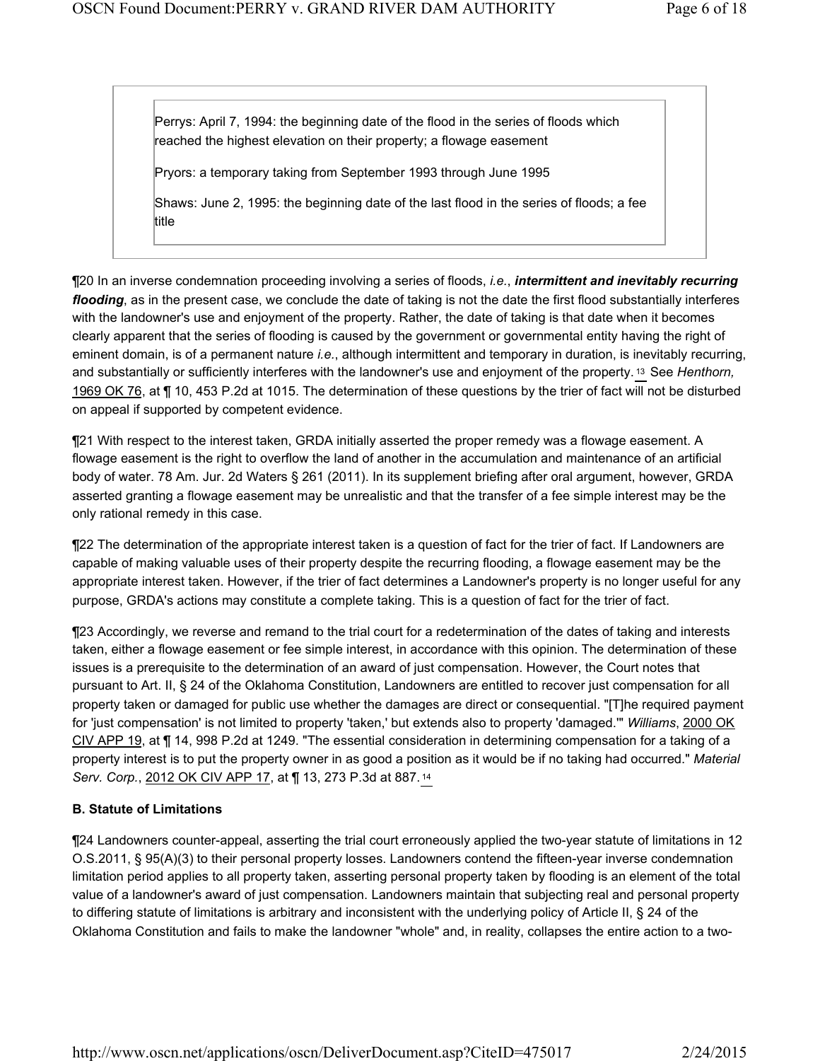Perrys: April 7, 1994: the beginning date of the flood in the series of floods which reached the highest elevation on their property; a flowage easement

Pryors: a temporary taking from September 1993 through June 1995

Shaws: June 2, 1995: the beginning date of the last flood in the series of floods; a fee title

¶20 In an inverse condemnation proceeding involving a series of floods, *i.e.*, *intermittent and inevitably recurring flooding*, as in the present case, we conclude the date of taking is not the date the first flood substantially interferes with the landowner's use and enjoyment of the property. Rather, the date of taking is that date when it becomes clearly apparent that the series of flooding is caused by the government or governmental entity having the right of eminent domain, is of a permanent nature *i.e.*, although intermittent and temporary in duration, is inevitably recurring, and substantially or sufficiently interferes with the landowner's use and enjoyment of the property.<sup>13</sup> See *Henthorn*, 1969 OK 76, at ¶ 10, 453 P.2d at 1015. The determination of these questions by the trier of fact will not be disturbed on appeal if supported by competent evidence.

¶21 With respect to the interest taken, GRDA initially asserted the proper remedy was a flowage easement. A flowage easement is the right to overflow the land of another in the accumulation and maintenance of an artificial body of water. 78 Am. Jur. 2d Waters § 261 (2011). In its supplement briefing after oral argument, however, GRDA asserted granting a flowage easement may be unrealistic and that the transfer of a fee simple interest may be the only rational remedy in this case.

¶22 The determination of the appropriate interest taken is a question of fact for the trier of fact. If Landowners are capable of making valuable uses of their property despite the recurring flooding, a flowage easement may be the appropriate interest taken. However, if the trier of fact determines a Landowner's property is no longer useful for any purpose, GRDA's actions may constitute a complete taking. This is a question of fact for the trier of fact.

¶23 Accordingly, we reverse and remand to the trial court for a redetermination of the dates of taking and interests taken, either a flowage easement or fee simple interest, in accordance with this opinion. The determination of these issues is a prerequisite to the determination of an award of just compensation. However, the Court notes that pursuant to Art. II, § 24 of the Oklahoma Constitution, Landowners are entitled to recover just compensation for all property taken or damaged for public use whether the damages are direct or consequential. "[T]he required payment for 'just compensation' is not limited to property 'taken,' but extends also to property 'damaged.'" *Williams*, 2000 OK CIV APP 19, at ¶ 14, 998 P.2d at 1249. "The essential consideration in determining compensation for a taking of a property interest is to put the property owner in as good a position as it would be if no taking had occurred." *Material Serv. Corp.*, 2012 OK CIV APP 17, at ¶ 13, 273 P.3d at 887. <sup>14</sup>

# **B. Statute of Limitations**

¶24 Landowners counter-appeal, asserting the trial court erroneously applied the two-year statute of limitations in 12 O.S.2011, § 95(A)(3) to their personal property losses. Landowners contend the fifteen-year inverse condemnation limitation period applies to all property taken, asserting personal property taken by flooding is an element of the total value of a landowner's award of just compensation. Landowners maintain that subjecting real and personal property to differing statute of limitations is arbitrary and inconsistent with the underlying policy of Article II, § 24 of the Oklahoma Constitution and fails to make the landowner "whole" and, in reality, collapses the entire action to a two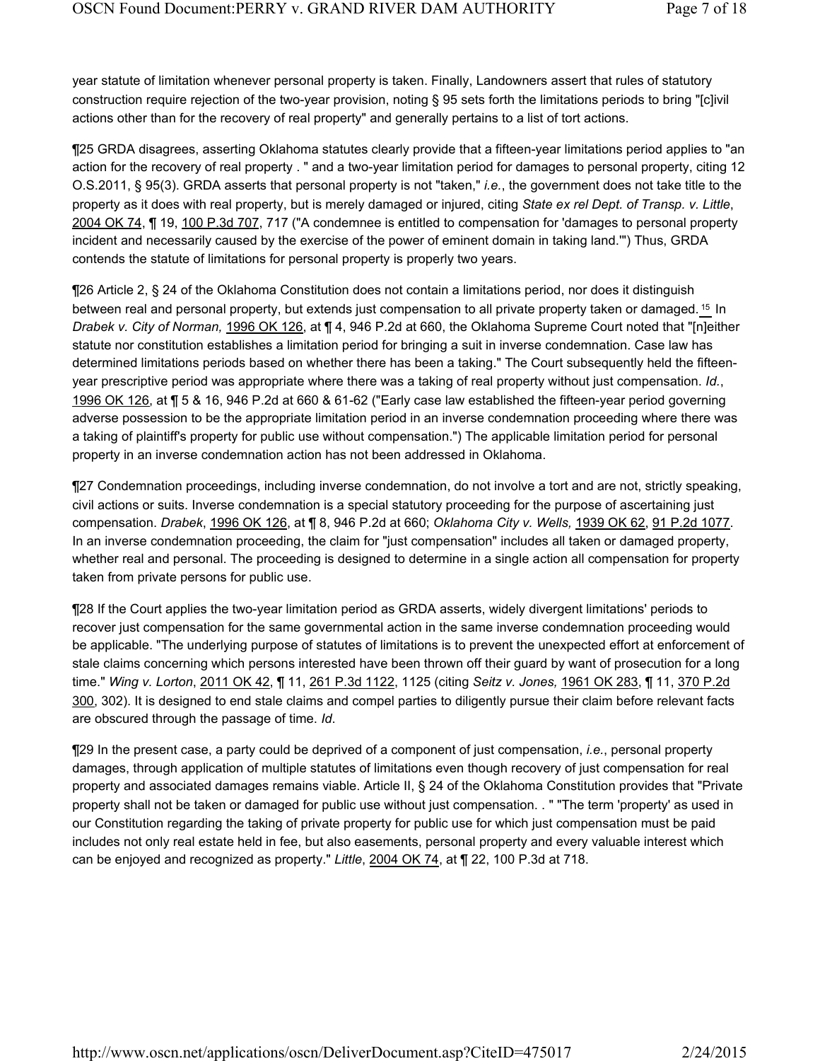year statute of limitation whenever personal property is taken. Finally, Landowners assert that rules of statutory construction require rejection of the two-year provision, noting § 95 sets forth the limitations periods to bring "[c]ivil actions other than for the recovery of real property" and generally pertains to a list of tort actions.

¶25 GRDA disagrees, asserting Oklahoma statutes clearly provide that a fifteen-year limitations period applies to "an action for the recovery of real property . " and a two-year limitation period for damages to personal property, citing 12 O.S.2011, § 95(3). GRDA asserts that personal property is not "taken," *i.e.*, the government does not take title to the property as it does with real property, but is merely damaged or injured, citing *State ex rel Dept. of Transp. v. Little*, 2004 OK 74, ¶ 19, 100 P.3d 707, 717 ("A condemnee is entitled to compensation for 'damages to personal property incident and necessarily caused by the exercise of the power of eminent domain in taking land.'") Thus, GRDA contends the statute of limitations for personal property is properly two years.

¶26 Article 2, § 24 of the Oklahoma Constitution does not contain a limitations period, nor does it distinguish between real and personal property, but extends just compensation to all private property taken or damaged. <sup>15</sup> In *Drabek v. City of Norman,* 1996 OK 126, at ¶ 4, 946 P.2d at 660, the Oklahoma Supreme Court noted that "[n]either statute nor constitution establishes a limitation period for bringing a suit in inverse condemnation. Case law has determined limitations periods based on whether there has been a taking." The Court subsequently held the fifteenyear prescriptive period was appropriate where there was a taking of real property without just compensation. *Id.*, 1996 OK 126, at ¶ 5 & 16, 946 P.2d at 660 & 61-62 ("Early case law established the fifteen-year period governing adverse possession to be the appropriate limitation period in an inverse condemnation proceeding where there was a taking of plaintiff's property for public use without compensation.") The applicable limitation period for personal property in an inverse condemnation action has not been addressed in Oklahoma.

¶27 Condemnation proceedings, including inverse condemnation, do not involve a tort and are not, strictly speaking, civil actions or suits. Inverse condemnation is a special statutory proceeding for the purpose of ascertaining just compensation. *Drabek*, 1996 OK 126, at ¶ 8, 946 P.2d at 660; *Oklahoma City v. Wells,* 1939 OK 62, 91 P.2d 1077. In an inverse condemnation proceeding, the claim for "just compensation" includes all taken or damaged property, whether real and personal. The proceeding is designed to determine in a single action all compensation for property taken from private persons for public use.

¶28 If the Court applies the two-year limitation period as GRDA asserts, widely divergent limitations' periods to recover just compensation for the same governmental action in the same inverse condemnation proceeding would be applicable. "The underlying purpose of statutes of limitations is to prevent the unexpected effort at enforcement of stale claims concerning which persons interested have been thrown off their guard by want of prosecution for a long time." *Wing v. Lorton*, 2011 OK 42, ¶ 11, 261 P.3d 1122, 1125 (citing *Seitz v. Jones,* 1961 OK 283, ¶ 11, 370 P.2d 300, 302). It is designed to end stale claims and compel parties to diligently pursue their claim before relevant facts are obscured through the passage of time. *Id*.

¶29 In the present case, a party could be deprived of a component of just compensation, *i.e.*, personal property damages, through application of multiple statutes of limitations even though recovery of just compensation for real property and associated damages remains viable. Article II, § 24 of the Oklahoma Constitution provides that "Private property shall not be taken or damaged for public use without just compensation. . " "The term 'property' as used in our Constitution regarding the taking of private property for public use for which just compensation must be paid includes not only real estate held in fee, but also easements, personal property and every valuable interest which can be enjoyed and recognized as property." *Little*, 2004 OK 74, at ¶ 22, 100 P.3d at 718.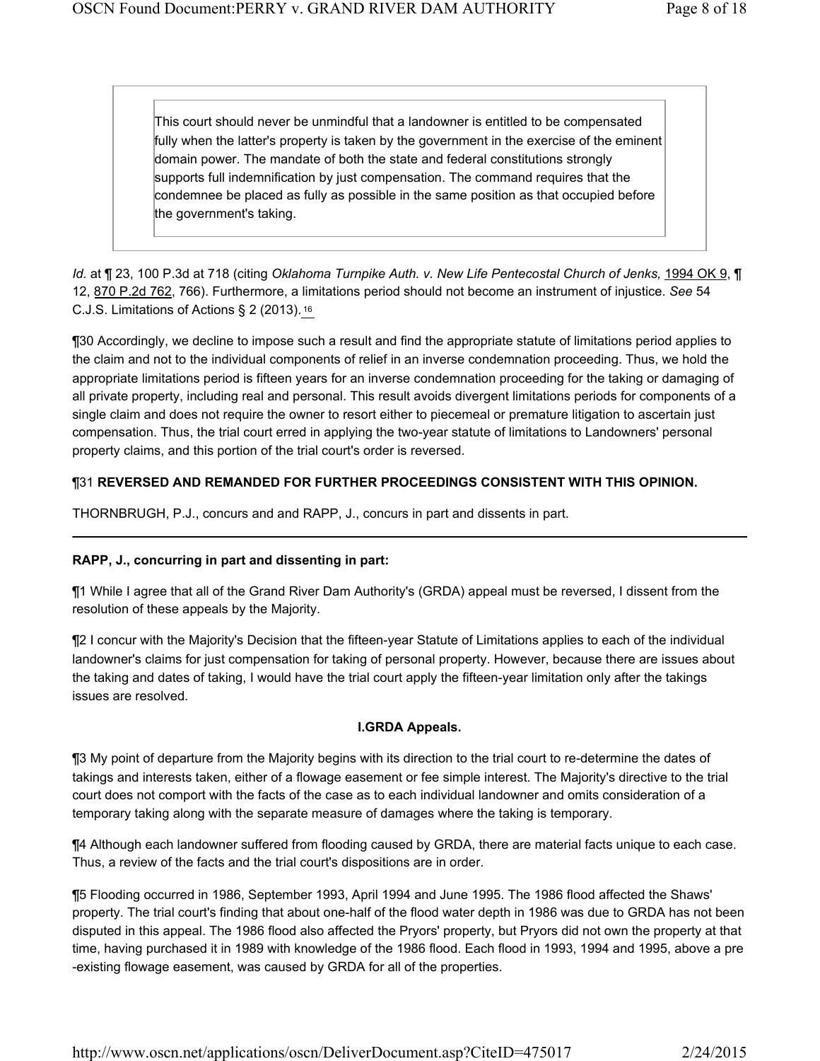This court should never be unmindful that a landowner is entitled to be compensated fully when the latter's property is taken by the government in the exercise of the eminent domain power. The mandate of both the state and federal constitutions strongly supports full indemnification by just compensation. The command requires that the condemnee be placed as fully as possible in the same position as that occupied before the government's taking.

*Id.* at ¶ 23, 100 P.3d at 718 (citing *Oklahoma Turnpike Auth. v. New Life Pentecostal Church of Jenks, 1994 OK 9, ¶* 12, 870 P.2d 762, 766). Furthermore, a limitations period should not become an instrument of injustice. *See* 54 C.J.S. Limitations of Actions § 2 (2013). <sup>16</sup>

¶30 Accordingly, we decline to impose such a result and find the appropriate statute of limitations period applies to the claim and not to the individual components of relief in an inverse condemnation proceeding. Thus, we hold the appropriate limitations period is fifteen years for an inverse condemnation proceeding for the taking or damaging of all private property, including real and personal. This result avoids divergent limitations periods for components of a single claim and does not require the owner to resort either to piecemeal or premature litigation to ascertain just compensation. Thus, the trial court erred in applying the two-year statute of limitations to Landowners' personal property claims, and this portion of the trial court's order is reversed.

# ¶31 **REVERSED AND REMANDED FOR FURTHER PROCEEDINGS CONSISTENT WITH THIS OPINION.**

THORNBRUGH, P.J., concurs and and RAPP, J., concurs in part and dissents in part.

### **RAPP, J., concurring in part and dissenting in part:**

¶1 While I agree that all of the Grand River Dam Authority's (GRDA) appeal must be reversed, I dissent from the resolution of these appeals by the Majority.

¶2 I concur with the Majority's Decision that the fifteen-year Statute of Limitations applies to each of the individual landowner's claims for just compensation for taking of personal property. However, because there are issues about the taking and dates of taking, I would have the trial court apply the fifteen-year limitation only after the takings issues are resolved.

### **I.GRDA Appeals.**

¶3 My point of departure from the Majority begins with its direction to the trial court to re-determine the dates of takings and interests taken, either of a flowage easement or fee simple interest. The Majority's directive to the trial court does not comport with the facts of the case as to each individual landowner and omits consideration of a temporary taking along with the separate measure of damages where the taking is temporary.

¶4 Although each landowner suffered from flooding caused by GRDA, there are material facts unique to each case. Thus, a review of the facts and the trial court's dispositions are in order.

¶5 Flooding occurred in 1986, September 1993, April 1994 and June 1995. The 1986 flood affected the Shaws' property. The trial court's finding that about one-half of the flood water depth in 1986 was due to GRDA has not been disputed in this appeal. The 1986 flood also affected the Pryors' property, but Pryors did not own the property at that time, having purchased it in 1989 with knowledge of the 1986 flood. Each flood in 1993, 1994 and 1995, above a pre -existing flowage easement, was caused by GRDA for all of the properties.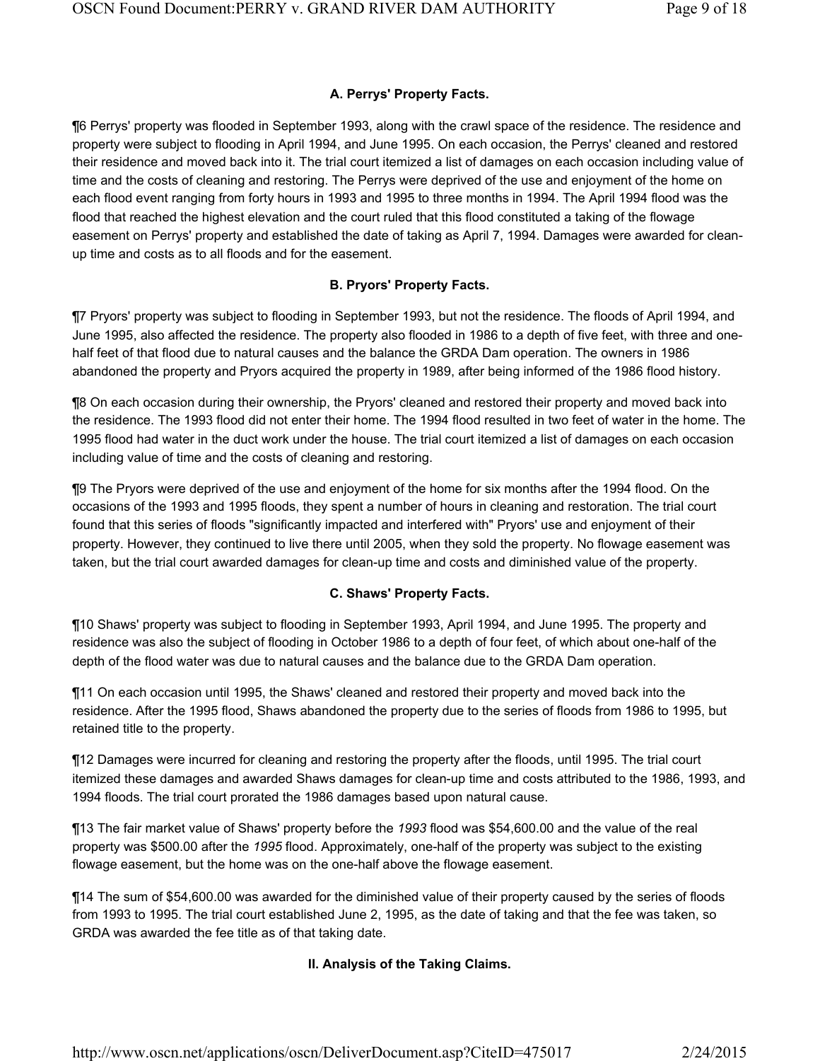# **A. Perrys' Property Facts.**

¶6 Perrys' property was flooded in September 1993, along with the crawl space of the residence. The residence and property were subject to flooding in April 1994, and June 1995. On each occasion, the Perrys' cleaned and restored their residence and moved back into it. The trial court itemized a list of damages on each occasion including value of time and the costs of cleaning and restoring. The Perrys were deprived of the use and enjoyment of the home on each flood event ranging from forty hours in 1993 and 1995 to three months in 1994. The April 1994 flood was the flood that reached the highest elevation and the court ruled that this flood constituted a taking of the flowage easement on Perrys' property and established the date of taking as April 7, 1994. Damages were awarded for cleanup time and costs as to all floods and for the easement.

# **B. Pryors' Property Facts.**

¶7 Pryors' property was subject to flooding in September 1993, but not the residence. The floods of April 1994, and June 1995, also affected the residence. The property also flooded in 1986 to a depth of five feet, with three and onehalf feet of that flood due to natural causes and the balance the GRDA Dam operation. The owners in 1986 abandoned the property and Pryors acquired the property in 1989, after being informed of the 1986 flood history.

¶8 On each occasion during their ownership, the Pryors' cleaned and restored their property and moved back into the residence. The 1993 flood did not enter their home. The 1994 flood resulted in two feet of water in the home. The 1995 flood had water in the duct work under the house. The trial court itemized a list of damages on each occasion including value of time and the costs of cleaning and restoring.

¶9 The Pryors were deprived of the use and enjoyment of the home for six months after the 1994 flood. On the occasions of the 1993 and 1995 floods, they spent a number of hours in cleaning and restoration. The trial court found that this series of floods "significantly impacted and interfered with" Pryors' use and enjoyment of their property. However, they continued to live there until 2005, when they sold the property. No flowage easement was taken, but the trial court awarded damages for clean-up time and costs and diminished value of the property.

# **C. Shaws' Property Facts.**

¶10 Shaws' property was subject to flooding in September 1993, April 1994, and June 1995. The property and residence was also the subject of flooding in October 1986 to a depth of four feet, of which about one-half of the depth of the flood water was due to natural causes and the balance due to the GRDA Dam operation.

¶11 On each occasion until 1995, the Shaws' cleaned and restored their property and moved back into the residence. After the 1995 flood, Shaws abandoned the property due to the series of floods from 1986 to 1995, but retained title to the property.

¶12 Damages were incurred for cleaning and restoring the property after the floods, until 1995. The trial court itemized these damages and awarded Shaws damages for clean-up time and costs attributed to the 1986, 1993, and 1994 floods. The trial court prorated the 1986 damages based upon natural cause.

¶13 The fair market value of Shaws' property before the *1993* flood was \$54,600.00 and the value of the real property was \$500.00 after the *1995* flood. Approximately, one-half of the property was subject to the existing flowage easement, but the home was on the one-half above the flowage easement.

¶14 The sum of \$54,600.00 was awarded for the diminished value of their property caused by the series of floods from 1993 to 1995. The trial court established June 2, 1995, as the date of taking and that the fee was taken, so GRDA was awarded the fee title as of that taking date.

# **II. Analysis of the Taking Claims.**

http://www.oscn.net/applications/oscn/DeliverDocument.asp?CiteID=475017 2/24/2015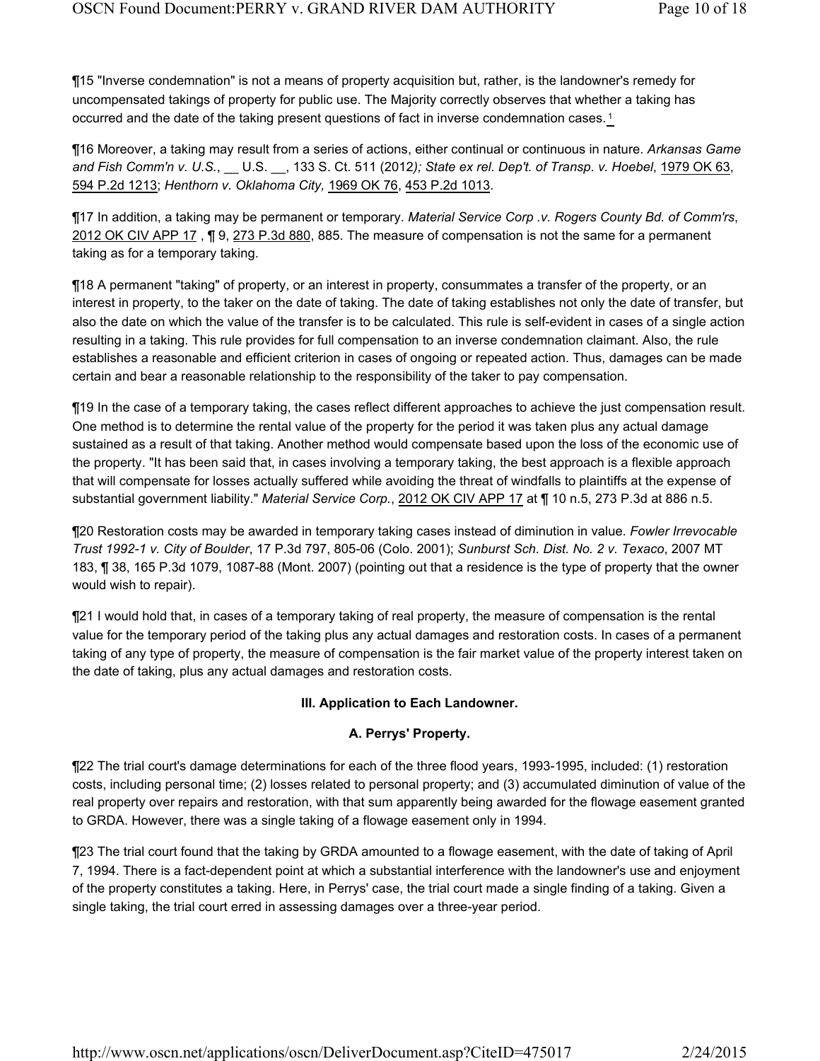¶15 "Inverse condemnation" is not a means of property acquisition but, rather, is the landowner's remedy for uncompensated takings of property for public use. The Majority correctly observes that whether a taking has occurred and the date of the taking present questions of fact in inverse condemnation cases.<sup>1</sup>

¶16 Moreover, a taking may result from a series of actions, either continual or continuous in nature. *Arkansas Game and Fish Comm'n v. U.S.*, \_\_ U.S. \_\_, 133 S. Ct. 511 (2012*); State ex rel. Dep't. of Transp. v. Hoebel*, 1979 OK 63, 594 P.2d 1213; *Henthorn v. Oklahoma City,* 1969 OK 76, 453 P.2d 1013.

¶17 In addition, a taking may be permanent or temporary. *Material Service Corp .v. Rogers County Bd. of Comm'rs*, 2012 OK CIV APP 17 , ¶ 9, 273 P.3d 880, 885. The measure of compensation is not the same for a permanent taking as for a temporary taking.

¶18 A permanent "taking" of property, or an interest in property, consummates a transfer of the property, or an interest in property, to the taker on the date of taking. The date of taking establishes not only the date of transfer, but also the date on which the value of the transfer is to be calculated. This rule is self-evident in cases of a single action resulting in a taking. This rule provides for full compensation to an inverse condemnation claimant. Also, the rule establishes a reasonable and efficient criterion in cases of ongoing or repeated action. Thus, damages can be made certain and bear a reasonable relationship to the responsibility of the taker to pay compensation.

¶19 In the case of a temporary taking, the cases reflect different approaches to achieve the just compensation result. One method is to determine the rental value of the property for the period it was taken plus any actual damage sustained as a result of that taking. Another method would compensate based upon the loss of the economic use of the property. "It has been said that, in cases involving a temporary taking, the best approach is a flexible approach that will compensate for losses actually suffered while avoiding the threat of windfalls to plaintiffs at the expense of substantial government liability." *Material Service Corp.*, 2012 OK CIV APP 17 at ¶ 10 n.5, 273 P.3d at 886 n.5.

¶20 Restoration costs may be awarded in temporary taking cases instead of diminution in value. *Fowler Irrevocable Trust 1992-1 v. City of Boulder*, 17 P.3d 797, 805-06 (Colo. 2001); *Sunburst Sch. Dist. No. 2 v. Texaco*, 2007 MT 183, ¶ 38, 165 P.3d 1079, 1087-88 (Mont. 2007) (pointing out that a residence is the type of property that the owner would wish to repair).

¶21 I would hold that, in cases of a temporary taking of real property, the measure of compensation is the rental value for the temporary period of the taking plus any actual damages and restoration costs. In cases of a permanent taking of any type of property, the measure of compensation is the fair market value of the property interest taken on the date of taking, plus any actual damages and restoration costs.

### **III. Application to Each Landowner.**

### **A. Perrys' Property.**

¶22 The trial court's damage determinations for each of the three flood years, 1993-1995, included: (1) restoration costs, including personal time; (2) losses related to personal property; and (3) accumulated diminution of value of the real property over repairs and restoration, with that sum apparently being awarded for the flowage easement granted to GRDA. However, there was a single taking of a flowage easement only in 1994.

¶23 The trial court found that the taking by GRDA amounted to a flowage easement, with the date of taking of April 7, 1994. There is a fact-dependent point at which a substantial interference with the landowner's use and enjoyment of the property constitutes a taking. Here, in Perrys' case, the trial court made a single finding of a taking. Given a single taking, the trial court erred in assessing damages over a three-year period.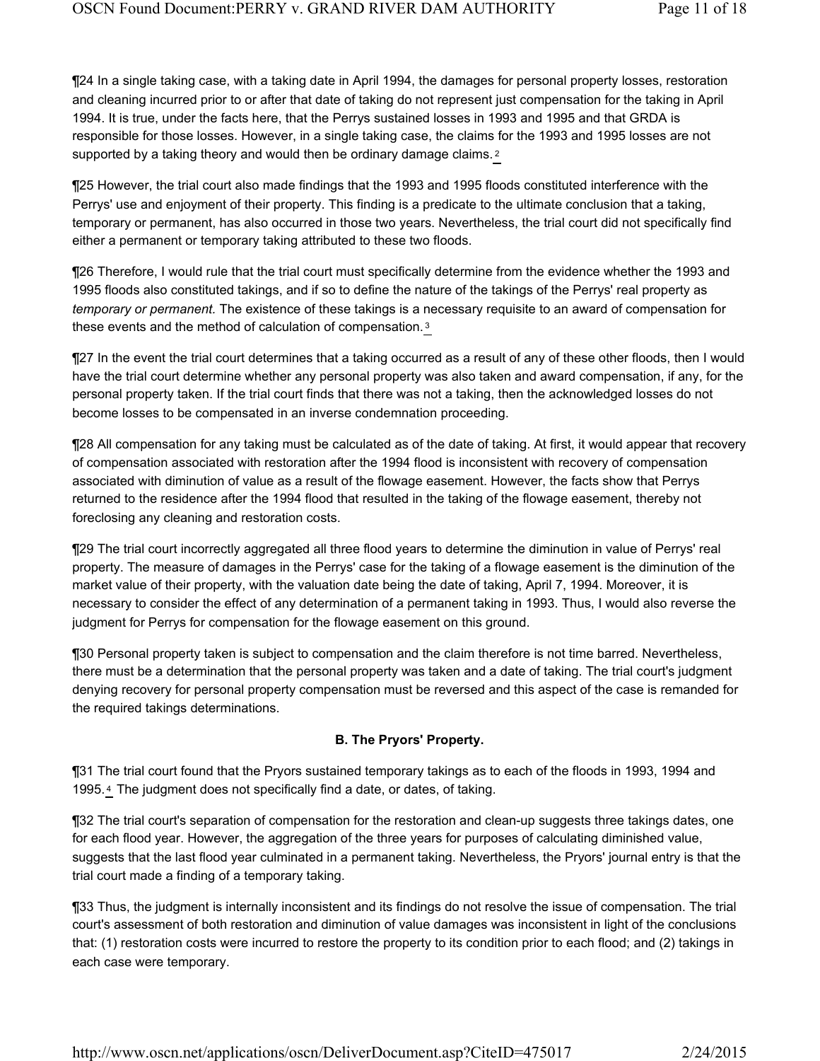¶24 In a single taking case, with a taking date in April 1994, the damages for personal property losses, restoration and cleaning incurred prior to or after that date of taking do not represent just compensation for the taking in April 1994. It is true, under the facts here, that the Perrys sustained losses in 1993 and 1995 and that GRDA is responsible for those losses. However, in a single taking case, the claims for the 1993 and 1995 losses are not supported by a taking theory and would then be ordinary damage claims.<sup>2</sup>

¶25 However, the trial court also made findings that the 1993 and 1995 floods constituted interference with the Perrys' use and enjoyment of their property. This finding is a predicate to the ultimate conclusion that a taking, temporary or permanent, has also occurred in those two years. Nevertheless, the trial court did not specifically find either a permanent or temporary taking attributed to these two floods.

¶26 Therefore, I would rule that the trial court must specifically determine from the evidence whether the 1993 and 1995 floods also constituted takings, and if so to define the nature of the takings of the Perrys' real property as *temporary or permanent.* The existence of these takings is a necessary requisite to an award of compensation for these events and the method of calculation of compensation. <sup>3</sup>

¶27 In the event the trial court determines that a taking occurred as a result of any of these other floods, then I would have the trial court determine whether any personal property was also taken and award compensation, if any, for the personal property taken. If the trial court finds that there was not a taking, then the acknowledged losses do not become losses to be compensated in an inverse condemnation proceeding.

¶28 All compensation for any taking must be calculated as of the date of taking. At first, it would appear that recovery of compensation associated with restoration after the 1994 flood is inconsistent with recovery of compensation associated with diminution of value as a result of the flowage easement. However, the facts show that Perrys returned to the residence after the 1994 flood that resulted in the taking of the flowage easement, thereby not foreclosing any cleaning and restoration costs.

¶29 The trial court incorrectly aggregated all three flood years to determine the diminution in value of Perrys' real property. The measure of damages in the Perrys' case for the taking of a flowage easement is the diminution of the market value of their property, with the valuation date being the date of taking, April 7, 1994. Moreover, it is necessary to consider the effect of any determination of a permanent taking in 1993. Thus, I would also reverse the judgment for Perrys for compensation for the flowage easement on this ground.

¶30 Personal property taken is subject to compensation and the claim therefore is not time barred. Nevertheless, there must be a determination that the personal property was taken and a date of taking. The trial court's judgment denying recovery for personal property compensation must be reversed and this aspect of the case is remanded for the required takings determinations.

#### **B. The Pryors' Property.**

¶31 The trial court found that the Pryors sustained temporary takings as to each of the floods in 1993, 1994 and 1995. 4 The judgment does not specifically find a date, or dates, of taking.

¶32 The trial court's separation of compensation for the restoration and clean-up suggests three takings dates, one for each flood year. However, the aggregation of the three years for purposes of calculating diminished value, suggests that the last flood year culminated in a permanent taking. Nevertheless, the Pryors' journal entry is that the trial court made a finding of a temporary taking.

¶33 Thus, the judgment is internally inconsistent and its findings do not resolve the issue of compensation. The trial court's assessment of both restoration and diminution of value damages was inconsistent in light of the conclusions that: (1) restoration costs were incurred to restore the property to its condition prior to each flood; and (2) takings in each case were temporary.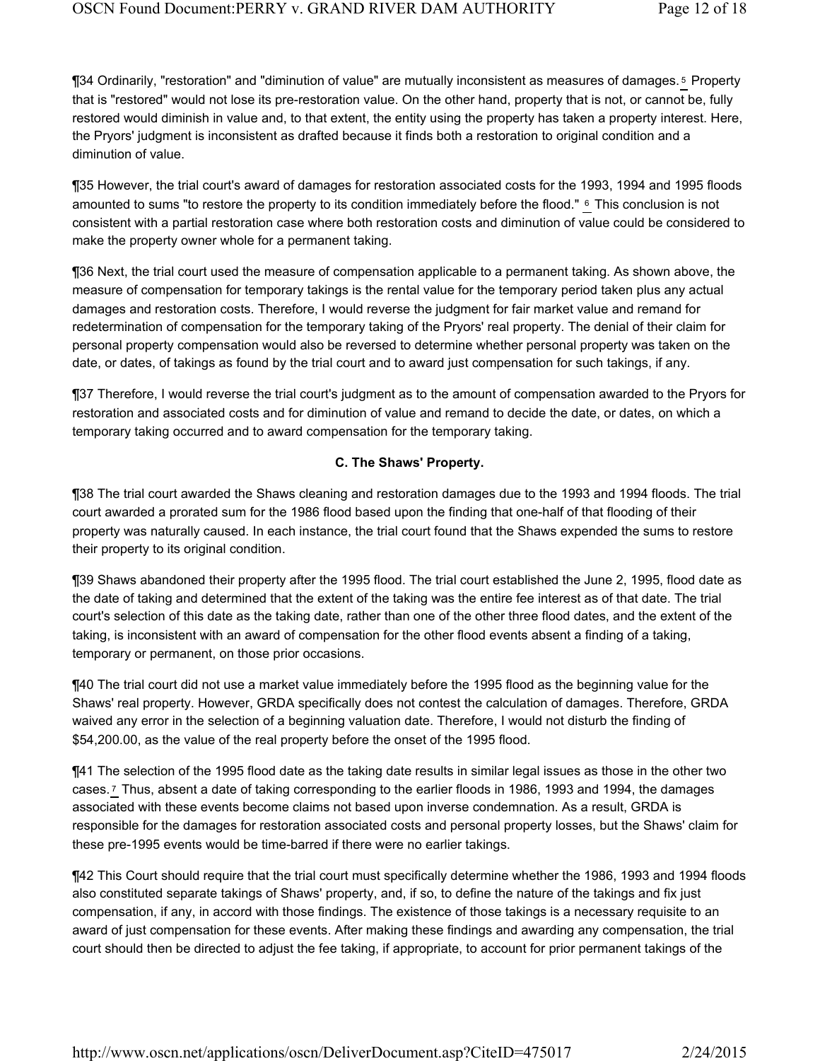¶34 Ordinarily, "restoration" and "diminution of value" are mutually inconsistent as measures of damages. Property 5 that is "restored" would not lose its pre-restoration value. On the other hand, property that is not, or cannot be, fully restored would diminish in value and, to that extent, the entity using the property has taken a property interest. Here, the Pryors' judgment is inconsistent as drafted because it finds both a restoration to original condition and a diminution of value.

¶35 However, the trial court's award of damages for restoration associated costs for the 1993, 1994 and 1995 floods amounted to sums "to restore the property to its condition immediately before the flood." 6 This conclusion is not consistent with a partial restoration case where both restoration costs and diminution of value could be considered to make the property owner whole for a permanent taking.

¶36 Next, the trial court used the measure of compensation applicable to a permanent taking. As shown above, the measure of compensation for temporary takings is the rental value for the temporary period taken plus any actual damages and restoration costs. Therefore, I would reverse the judgment for fair market value and remand for redetermination of compensation for the temporary taking of the Pryors' real property. The denial of their claim for personal property compensation would also be reversed to determine whether personal property was taken on the date, or dates, of takings as found by the trial court and to award just compensation for such takings, if any.

¶37 Therefore, I would reverse the trial court's judgment as to the amount of compensation awarded to the Pryors for restoration and associated costs and for diminution of value and remand to decide the date, or dates, on which a temporary taking occurred and to award compensation for the temporary taking.

#### **C. The Shaws' Property.**

¶38 The trial court awarded the Shaws cleaning and restoration damages due to the 1993 and 1994 floods. The trial court awarded a prorated sum for the 1986 flood based upon the finding that one-half of that flooding of their property was naturally caused. In each instance, the trial court found that the Shaws expended the sums to restore their property to its original condition.

¶39 Shaws abandoned their property after the 1995 flood. The trial court established the June 2, 1995, flood date as the date of taking and determined that the extent of the taking was the entire fee interest as of that date. The trial court's selection of this date as the taking date, rather than one of the other three flood dates, and the extent of the taking, is inconsistent with an award of compensation for the other flood events absent a finding of a taking, temporary or permanent, on those prior occasions.

¶40 The trial court did not use a market value immediately before the 1995 flood as the beginning value for the Shaws' real property. However, GRDA specifically does not contest the calculation of damages. Therefore, GRDA waived any error in the selection of a beginning valuation date. Therefore, I would not disturb the finding of \$54,200.00, as the value of the real property before the onset of the 1995 flood.

¶41 The selection of the 1995 flood date as the taking date results in similar legal issues as those in the other two cases.<sup>7</sup> Thus, absent a date of taking corresponding to the earlier floods in 1986, 1993 and 1994, the damages associated with these events become claims not based upon inverse condemnation. As a result, GRDA is responsible for the damages for restoration associated costs and personal property losses, but the Shaws' claim for these pre-1995 events would be time-barred if there were no earlier takings.

¶42 This Court should require that the trial court must specifically determine whether the 1986, 1993 and 1994 floods also constituted separate takings of Shaws' property, and, if so, to define the nature of the takings and fix just compensation, if any, in accord with those findings. The existence of those takings is a necessary requisite to an award of just compensation for these events. After making these findings and awarding any compensation, the trial court should then be directed to adjust the fee taking, if appropriate, to account for prior permanent takings of the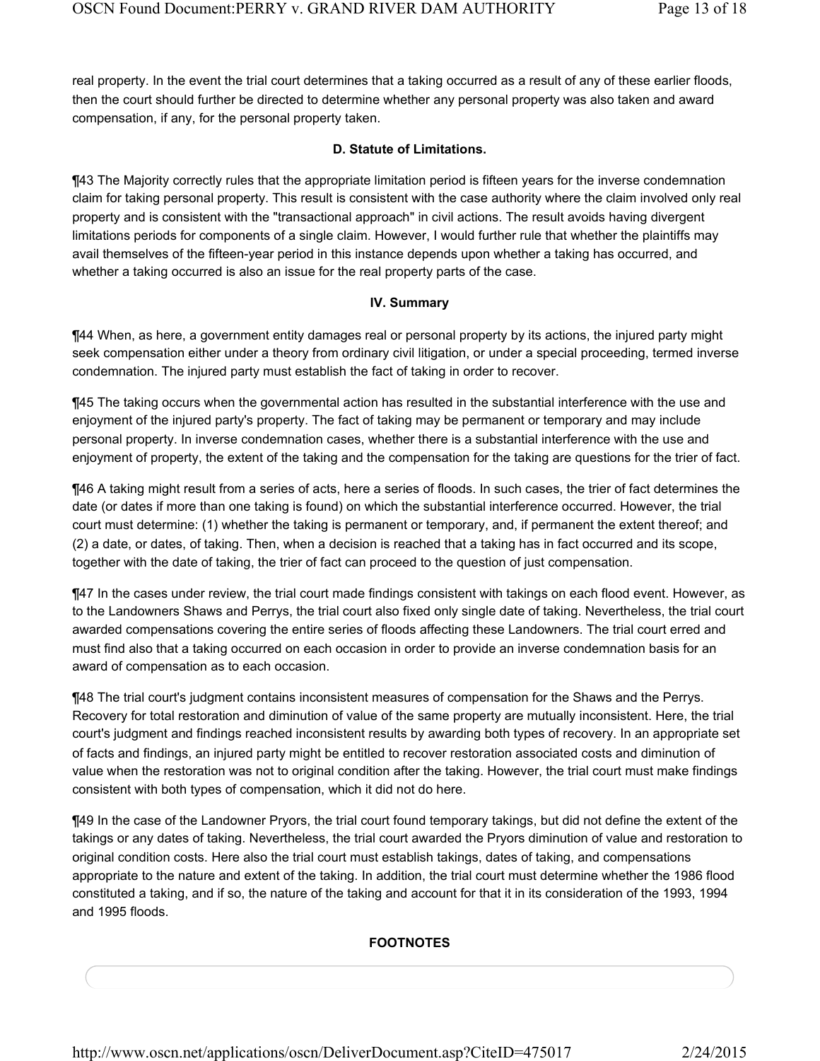real property. In the event the trial court determines that a taking occurred as a result of any of these earlier floods, then the court should further be directed to determine whether any personal property was also taken and award compensation, if any, for the personal property taken.

#### **D. Statute of Limitations.**

¶43 The Majority correctly rules that the appropriate limitation period is fifteen years for the inverse condemnation claim for taking personal property. This result is consistent with the case authority where the claim involved only real property and is consistent with the "transactional approach" in civil actions. The result avoids having divergent limitations periods for components of a single claim. However, I would further rule that whether the plaintiffs may avail themselves of the fifteen-year period in this instance depends upon whether a taking has occurred, and whether a taking occurred is also an issue for the real property parts of the case.

#### **IV. Summary**

¶44 When, as here, a government entity damages real or personal property by its actions, the injured party might seek compensation either under a theory from ordinary civil litigation, or under a special proceeding, termed inverse condemnation. The injured party must establish the fact of taking in order to recover.

¶45 The taking occurs when the governmental action has resulted in the substantial interference with the use and enjoyment of the injured party's property. The fact of taking may be permanent or temporary and may include personal property. In inverse condemnation cases, whether there is a substantial interference with the use and enjoyment of property, the extent of the taking and the compensation for the taking are questions for the trier of fact.

¶46 A taking might result from a series of acts, here a series of floods. In such cases, the trier of fact determines the date (or dates if more than one taking is found) on which the substantial interference occurred. However, the trial court must determine: (1) whether the taking is permanent or temporary, and, if permanent the extent thereof; and (2) a date, or dates, of taking. Then, when a decision is reached that a taking has in fact occurred and its scope, together with the date of taking, the trier of fact can proceed to the question of just compensation.

¶47 In the cases under review, the trial court made findings consistent with takings on each flood event. However, as to the Landowners Shaws and Perrys, the trial court also fixed only single date of taking. Nevertheless, the trial court awarded compensations covering the entire series of floods affecting these Landowners. The trial court erred and must find also that a taking occurred on each occasion in order to provide an inverse condemnation basis for an award of compensation as to each occasion.

¶48 The trial court's judgment contains inconsistent measures of compensation for the Shaws and the Perrys. Recovery for total restoration and diminution of value of the same property are mutually inconsistent. Here, the trial court's judgment and findings reached inconsistent results by awarding both types of recovery. In an appropriate set of facts and findings, an injured party might be entitled to recover restoration associated costs and diminution of value when the restoration was not to original condition after the taking. However, the trial court must make findings consistent with both types of compensation, which it did not do here.

¶49 In the case of the Landowner Pryors, the trial court found temporary takings, but did not define the extent of the takings or any dates of taking. Nevertheless, the trial court awarded the Pryors diminution of value and restoration to original condition costs. Here also the trial court must establish takings, dates of taking, and compensations appropriate to the nature and extent of the taking. In addition, the trial court must determine whether the 1986 flood constituted a taking, and if so, the nature of the taking and account for that it in its consideration of the 1993, 1994 and 1995 floods.

## **FOOTNOTES**

http://www.oscn.net/applications/oscn/DeliverDocument.asp?CiteID=475017 2/24/2015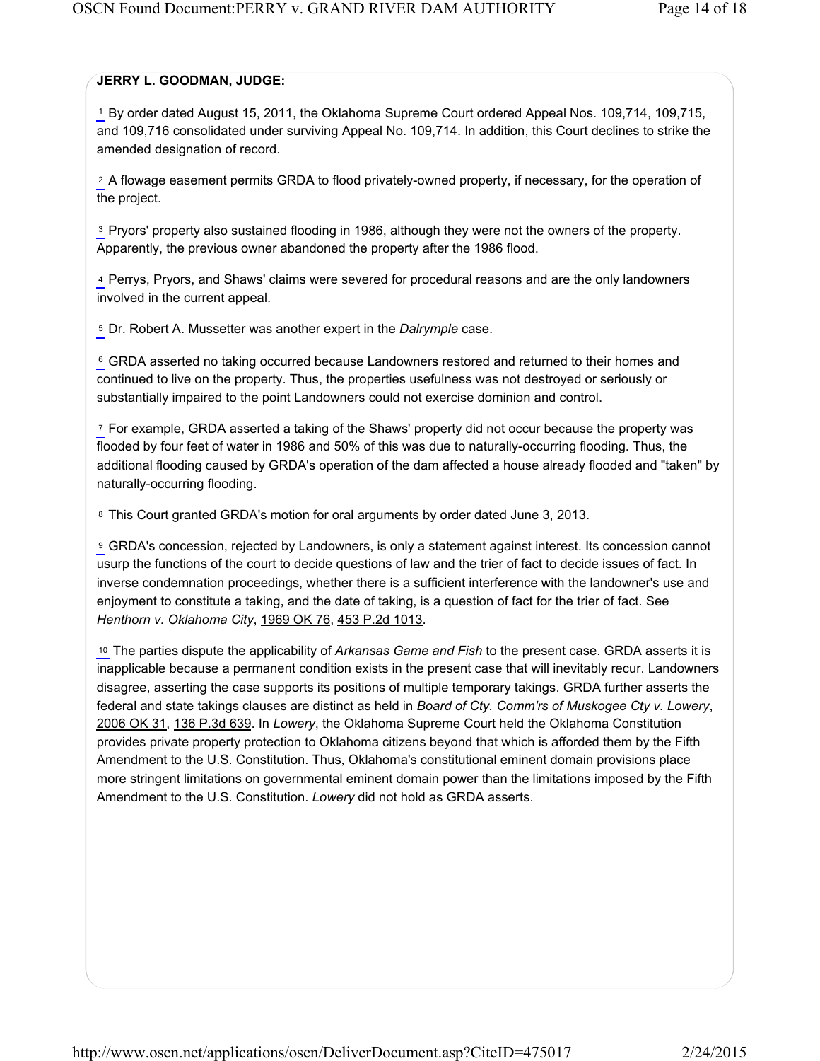# **JERRY L. GOODMAN, JUDGE:**

<sup>1</sup> By order dated August 15, 2011, the Oklahoma Supreme Court ordered Appeal Nos. 109,714, 109,715, and 109,716 consolidated under surviving Appeal No. 109,714. In addition, this Court declines to strike the amended designation of record.

A flowage easement permits GRDA to flood privately-owned property, if necessary, for the operation of 2 the project.

<sup>3</sup> Pryors' property also sustained flooding in 1986, although they were not the owners of the property. Apparently, the previous owner abandoned the property after the 1986 flood.

Perrys, Pryors, and Shaws' claims were severed for procedural reasons and are the only landowners 4 involved in the current appeal.

<sup>5</sup> Dr. Robert A. Mussetter was another expert in the *Dalrymple* case.

<sup>6</sup> GRDA asserted no taking occurred because Landowners restored and returned to their homes and continued to live on the property. Thus, the properties usefulness was not destroyed or seriously or substantially impaired to the point Landowners could not exercise dominion and control.

<sup>7</sup> For example, GRDA asserted a taking of the Shaws' property did not occur because the property was flooded by four feet of water in 1986 and 50% of this was due to naturally-occurring flooding. Thus, the additional flooding caused by GRDA's operation of the dam affected a house already flooded and "taken" by naturally-occurring flooding.

8 This Court granted GRDA's motion for oral arguments by order dated June 3, 2013.

GRDA's concession, rejected by Landowners, is only a statement against interest. Its concession cannot 9 usurp the functions of the court to decide questions of law and the trier of fact to decide issues of fact. In inverse condemnation proceedings, whether there is a sufficient interference with the landowner's use and enjoyment to constitute a taking, and the date of taking, is a question of fact for the trier of fact. See *Henthorn v. Oklahoma City*, 1969 OK 76, 453 P.2d 1013.

<sup>10</sup> The parties dispute the applicability of Arkansas Game and Fish to the present case. GRDA asserts it is inapplicable because a permanent condition exists in the present case that will inevitably recur. Landowners disagree, asserting the case supports its positions of multiple temporary takings. GRDA further asserts the federal and state takings clauses are distinct as held in *Board of Cty. Comm'rs of Muskogee Cty v. Lowery*, 2006 OK 31, 136 P.3d 639. In *Lowery*, the Oklahoma Supreme Court held the Oklahoma Constitution provides private property protection to Oklahoma citizens beyond that which is afforded them by the Fifth Amendment to the U.S. Constitution. Thus, Oklahoma's constitutional eminent domain provisions place more stringent limitations on governmental eminent domain power than the limitations imposed by the Fifth Amendment to the U.S. Constitution. *Lowery* did not hold as GRDA asserts.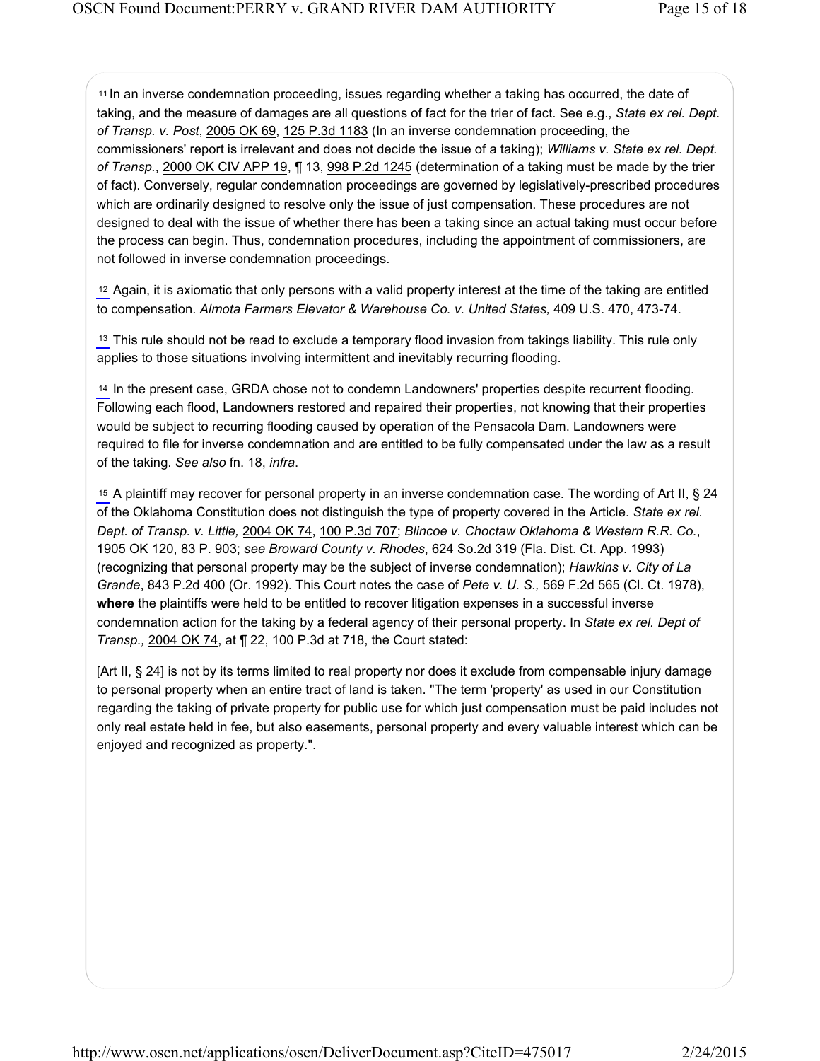In an inverse condemnation proceeding, issues regarding whether a taking has occurred, the date of 11 taking, and the measure of damages are all questions of fact for the trier of fact. See e.g., *State ex rel. Dept. of Transp. v. Post*, 2005 OK 69, 125 P.3d 1183 (In an inverse condemnation proceeding, the commissioners' report is irrelevant and does not decide the issue of a taking); *Williams v. State ex rel. Dept. of Transp.*, 2000 OK CIV APP 19, ¶ 13, 998 P.2d 1245 (determination of a taking must be made by the trier of fact). Conversely, regular condemnation proceedings are governed by legislatively-prescribed procedures which are ordinarily designed to resolve only the issue of just compensation. These procedures are not designed to deal with the issue of whether there has been a taking since an actual taking must occur before the process can begin. Thus, condemnation procedures, including the appointment of commissioners, are not followed in inverse condemnation proceedings.

Again, it is axiomatic that only persons with a valid property interest at the time of the taking are entitled 12 to compensation. *Almota Farmers Elevator & Warehouse Co. v. United States,* 409 U.S. 470, 473-74.

 $13$  This rule should not be read to exclude a temporary flood invasion from takings liability. This rule only applies to those situations involving intermittent and inevitably recurring flooding.

In the present case, GRDA chose not to condemn Landowners' properties despite recurrent flooding. 14 Following each flood, Landowners restored and repaired their properties, not knowing that their properties would be subject to recurring flooding caused by operation of the Pensacola Dam. Landowners were required to file for inverse condemnation and are entitled to be fully compensated under the law as a result of the taking. *See also* fn. 18, *infra*.

<sup>15</sup> A plaintiff may recover for personal property in an inverse condemnation case. The wording of Art II, § 24 of the Oklahoma Constitution does not distinguish the type of property covered in the Article. *State ex rel. Dept. of Transp. v. Little,* 2004 OK 74, 100 P.3d 707; *Blincoe v. Choctaw Oklahoma & Western R.R. Co.*, 1905 OK 120, 83 P. 903; *see Broward County v. Rhodes*, 624 So.2d 319 (Fla. Dist. Ct. App. 1993) (recognizing that personal property may be the subject of inverse condemnation); *Hawkins v. City of La Grande*, 843 P.2d 400 (Or. 1992). This Court notes the case of *Pete v. U. S.,* 569 F.2d 565 (Cl. Ct. 1978), **where** the plaintiffs were held to be entitled to recover litigation expenses in a successful inverse condemnation action for the taking by a federal agency of their personal property. In *State ex rel. Dept of Transp.,* 2004 OK 74, at ¶ 22, 100 P.3d at 718, the Court stated:

[Art II, § 24] is not by its terms limited to real property nor does it exclude from compensable injury damage to personal property when an entire tract of land is taken. "The term 'property' as used in our Constitution regarding the taking of private property for public use for which just compensation must be paid includes not only real estate held in fee, but also easements, personal property and every valuable interest which can be enjoyed and recognized as property.".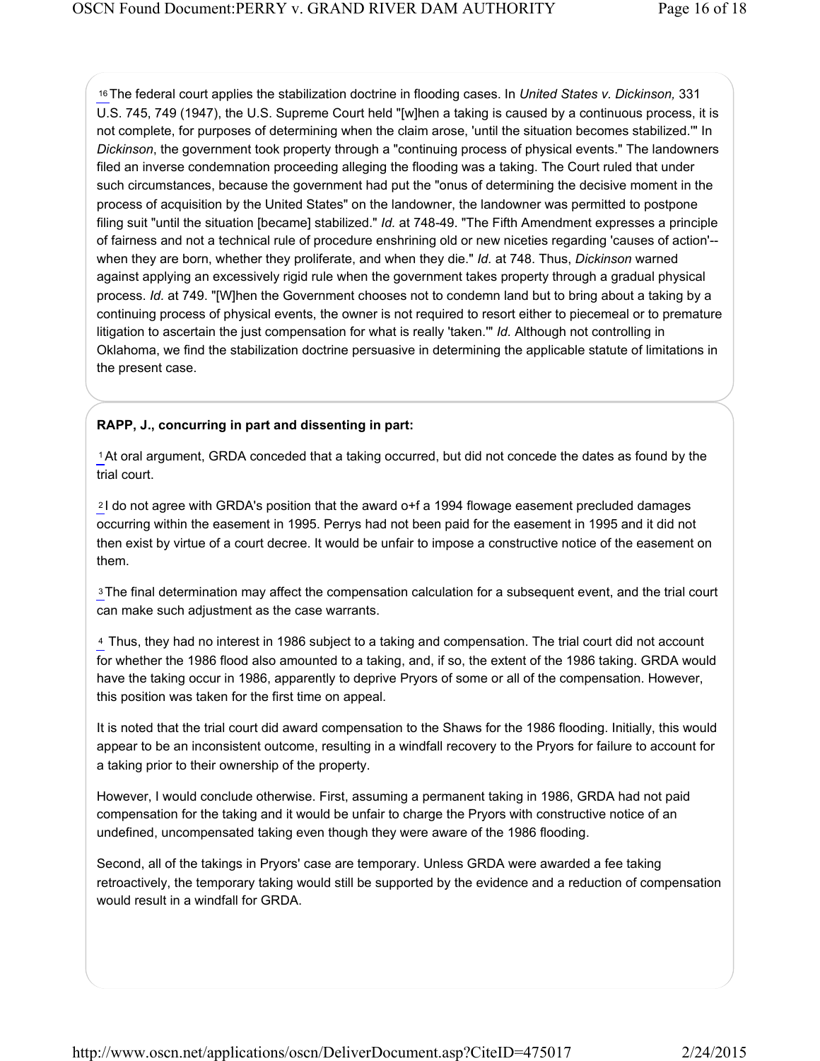The federal court applies the stabilization doctrine in flooding cases. In *United States v. Dickinson,* 331 16 U.S. 745, 749 (1947), the U.S. Supreme Court held "[w]hen a taking is caused by a continuous process, it is not complete, for purposes of determining when the claim arose, 'until the situation becomes stabilized.'" In *Dickinson*, the government took property through a "continuing process of physical events." The landowners filed an inverse condemnation proceeding alleging the flooding was a taking. The Court ruled that under such circumstances, because the government had put the "onus of determining the decisive moment in the process of acquisition by the United States" on the landowner, the landowner was permitted to postpone filing suit "until the situation [became] stabilized." *Id.* at 748-49. "The Fifth Amendment expresses a principle of fairness and not a technical rule of procedure enshrining old or new niceties regarding 'causes of action'- when they are born, whether they proliferate, and when they die." *Id.* at 748. Thus, *Dickinson* warned against applying an excessively rigid rule when the government takes property through a gradual physical process. *Id.* at 749. "[W]hen the Government chooses not to condemn land but to bring about a taking by a continuing process of physical events, the owner is not required to resort either to piecemeal or to premature litigation to ascertain the just compensation for what is really 'taken.'" *Id.* Although not controlling in Oklahoma, we find the stabilization doctrine persuasive in determining the applicable statute of limitations in the present case.

### **RAPP, J., concurring in part and dissenting in part:**

<sup>1</sup> At oral argument, GRDA conceded that a taking occurred, but did not concede the dates as found by the trial court.

<sup>2</sup>I do not agree with GRDA's position that the award o+f a 1994 flowage easement precluded damages occurring within the easement in 1995. Perrys had not been paid for the easement in 1995 and it did not then exist by virtue of a court decree. It would be unfair to impose a constructive notice of the easement on them.

<sup>3</sup>The final determination may affect the compensation calculation for a subsequent event, and the trial court can make such adjustment as the case warrants.

Thus, they had no interest in 1986 subject to a taking and compensation. The trial court did not account 4 for whether the 1986 flood also amounted to a taking, and, if so, the extent of the 1986 taking. GRDA would have the taking occur in 1986, apparently to deprive Pryors of some or all of the compensation. However, this position was taken for the first time on appeal.

It is noted that the trial court did award compensation to the Shaws for the 1986 flooding. Initially, this would appear to be an inconsistent outcome, resulting in a windfall recovery to the Pryors for failure to account for a taking prior to their ownership of the property.

However, I would conclude otherwise. First, assuming a permanent taking in 1986, GRDA had not paid compensation for the taking and it would be unfair to charge the Pryors with constructive notice of an undefined, uncompensated taking even though they were aware of the 1986 flooding.

Second, all of the takings in Pryors' case are temporary. Unless GRDA were awarded a fee taking retroactively, the temporary taking would still be supported by the evidence and a reduction of compensation would result in a windfall for GRDA.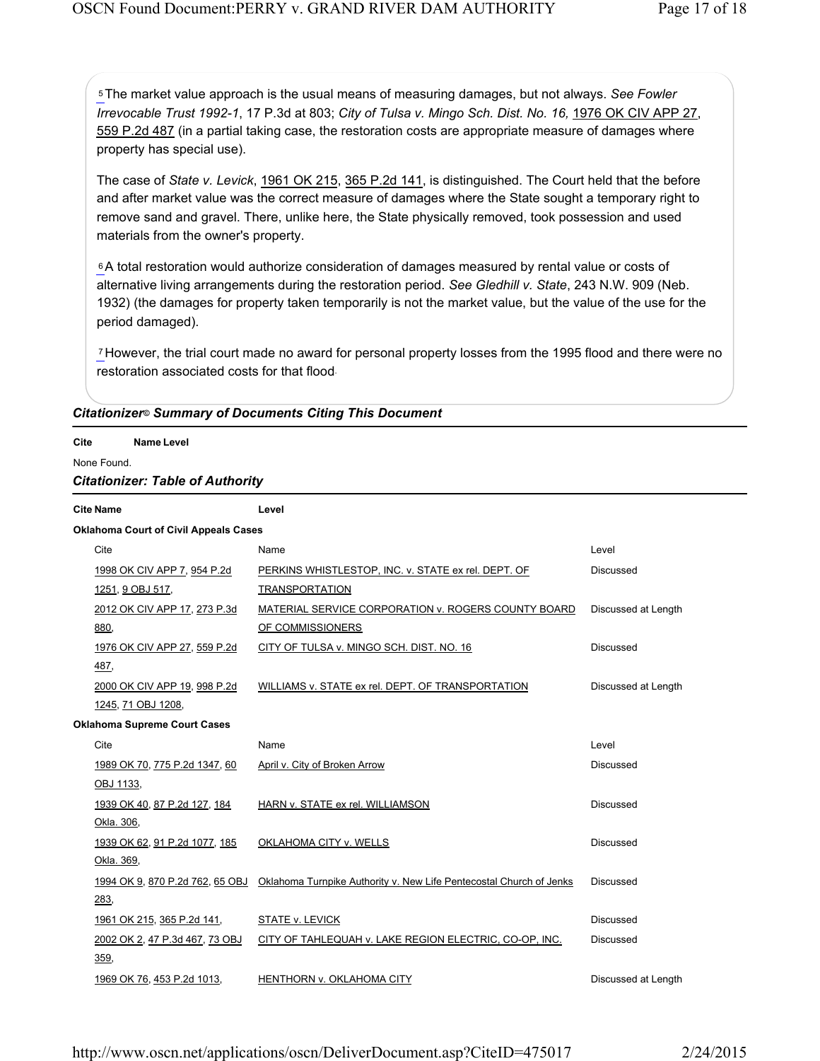<sup>5</sup> The market value approach is the usual means of measuring damages, but not always. See Fowler *Irrevocable Trust 1992-1*, 17 P.3d at 803; *City of Tulsa v. Mingo Sch. Dist. No. 16,* 1976 OK CIV APP 27, 559 P.2d 487 (in a partial taking case, the restoration costs are appropriate measure of damages where property has special use).

The case of *State v. Levick*, 1961 OK 215, 365 P.2d 141, is distinguished. The Court held that the before and after market value was the correct measure of damages where the State sought a temporary right to remove sand and gravel. There, unlike here, the State physically removed, took possession and used materials from the owner's property.

 $6A$  total restoration would authorize consideration of damages measured by rental value or costs of alternative living arrangements during the restoration period. *See Gledhill v. State*, 243 N.W. 909 (Neb. 1932) (the damages for property taken temporarily is not the market value, but the value of the use for the period damaged).

However, the trial court made no award for personal property losses from the 1995 flood and there were no restoration associated costs for that flood .

| <b>Citationizer® Summary of Documents Citing This Document</b> |  |  |  |
|----------------------------------------------------------------|--|--|--|
|----------------------------------------------------------------|--|--|--|

**Cite Name Level**

None Found.

#### *Citationizer: Table of Authority*

| <b>Cite Name</b>                             | Level                                                               |                     |  |  |  |  |  |
|----------------------------------------------|---------------------------------------------------------------------|---------------------|--|--|--|--|--|
| <b>Oklahoma Court of Civil Appeals Cases</b> |                                                                     |                     |  |  |  |  |  |
| Cite                                         | Name                                                                | Level               |  |  |  |  |  |
| 1998 OK CIV APP 7, 954 P.2d                  | PERKINS WHISTLESTOP, INC. v. STATE ex rel. DEPT. OF                 | <b>Discussed</b>    |  |  |  |  |  |
| 1251, 9 OBJ 517,                             | <b>TRANSPORTATION</b>                                               |                     |  |  |  |  |  |
| 2012 OK CIV APP 17, 273 P.3d                 | MATERIAL SERVICE CORPORATION v. ROGERS COUNTY BOARD                 | Discussed at Length |  |  |  |  |  |
| 880,                                         | OF COMMISSIONERS                                                    |                     |  |  |  |  |  |
| 1976 OK CIV APP 27, 559 P.2d                 | CITY OF TULSA v. MINGO SCH. DIST. NO. 16                            | <b>Discussed</b>    |  |  |  |  |  |
| 487,                                         |                                                                     |                     |  |  |  |  |  |
| 2000 OK CIV APP 19, 998 P.2d                 | WILLIAMS v. STATE ex rel. DEPT. OF TRANSPORTATION                   | Discussed at Length |  |  |  |  |  |
| 1245, 71 OBJ 1208,                           |                                                                     |                     |  |  |  |  |  |
| <b>Oklahoma Supreme Court Cases</b>          |                                                                     |                     |  |  |  |  |  |
| Cite                                         | Name                                                                | Level               |  |  |  |  |  |
| 1989 OK 70, 775 P.2d 1347, 60                | April v. City of Broken Arrow                                       | <b>Discussed</b>    |  |  |  |  |  |
| OBJ 1133,                                    |                                                                     |                     |  |  |  |  |  |
| 1939 OK 40, 87 P.2d 127, 184                 | HARN v. STATE ex rel. WILLIAMSON                                    | Discussed           |  |  |  |  |  |
| Okla. 306,                                   |                                                                     |                     |  |  |  |  |  |
| 1939 OK 62, 91 P.2d 1077, 185                | <b>OKLAHOMA CITY v. WELLS</b>                                       | <b>Discussed</b>    |  |  |  |  |  |
| Okla. 369,                                   |                                                                     |                     |  |  |  |  |  |
| 1994 OK 9, 870 P.2d 762, 65 OBJ              | Oklahoma Turnpike Authority v. New Life Pentecostal Church of Jenks | <b>Discussed</b>    |  |  |  |  |  |
| 283,                                         |                                                                     |                     |  |  |  |  |  |
| 1961 OK 215, 365 P.2d 141,                   | STATE v. LEVICK                                                     | <b>Discussed</b>    |  |  |  |  |  |
| 2002 OK 2, 47 P.3d 467, 73 OBJ               | CITY OF TAHLEQUAH v. LAKE REGION ELECTRIC, CO-OP, INC.              | <b>Discussed</b>    |  |  |  |  |  |
| 359,                                         |                                                                     |                     |  |  |  |  |  |
| 1969 OK 76, 453 P.2d 1013,                   | <b>HENTHORN v. OKLAHOMA CITY</b>                                    | Discussed at Length |  |  |  |  |  |